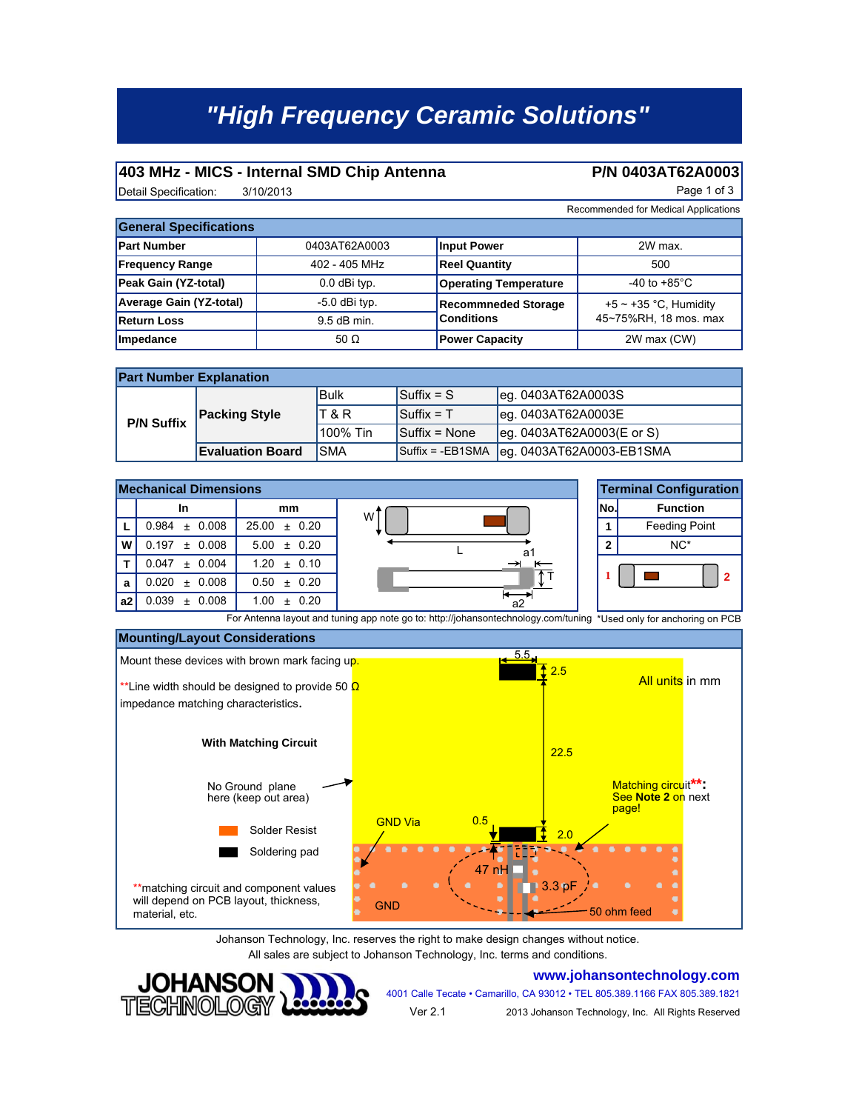# *"High Frequency Ceramic Solutions"*

#### **403 MHz - MICS - Internal SMD Chip Antenna P/N 0403AT62A0003**

Detail Specification: 3/10/2013 3/10/2013

Recommended for Medical Applications

| <b>General Specifications</b> |                 |                              |                            |  |
|-------------------------------|-----------------|------------------------------|----------------------------|--|
| <b>Part Number</b>            | 0403AT62A0003   | <b>Input Power</b>           | 2W max.                    |  |
| <b>Frequency Range</b>        | 402 - 405 MHz   | <b>Reel Quantity</b>         | 500                        |  |
| Peak Gain (YZ-total)          | 0.0 dBi typ.    | <b>Operating Temperature</b> | -40 to +85 $^{\circ}$ C    |  |
| Average Gain (YZ-total)       | $-5.0$ dBi typ. | <b>Recommneded Storage</b>   | +5 $\sim$ +35 °C, Humidity |  |
| <b>Return Loss</b>            | $9.5$ dB min.   | <b>Conditions</b>            | 45~75%RH, 18 mos. max      |  |
| Impedance                     | 50 $\Omega$     | <b>Power Capacity</b>        | 2W max (CW)                |  |

| <b>Part Number Explanation</b> |                         |            |                    |                           |  |
|--------------------------------|-------------------------|------------|--------------------|---------------------------|--|
| <b>P/N Suffix</b>              | <b>Packing Style</b>    | lBulk      | $\sf ISuffix = S$  | leg. 0403AT62A0003S       |  |
|                                |                         | T & R      | $Suffix = T$       | leg. 0403AT62A0003E       |  |
|                                |                         | 100% Tin   | Suffix = None      | eg. 0403AT62A0003(E or S) |  |
|                                | <b>Evaluation Board</b> | <b>SMA</b> | $Suffix = -EB1SMA$ | leg. 0403AT62A0003-EB1SMA |  |





Johanson Technology, Inc. reserves the right to make design changes without notice. All sales are subject to Johanson Technology, Inc. terms and conditions.



#### **www.johansontechnology.com**

4001 Calle Tecate • Camarillo, CA 93012 • TEL 805.389.1166 FAX 805.389.1821

Ver 2.1 2013 Johanson Technology, Inc. All Rights Reserved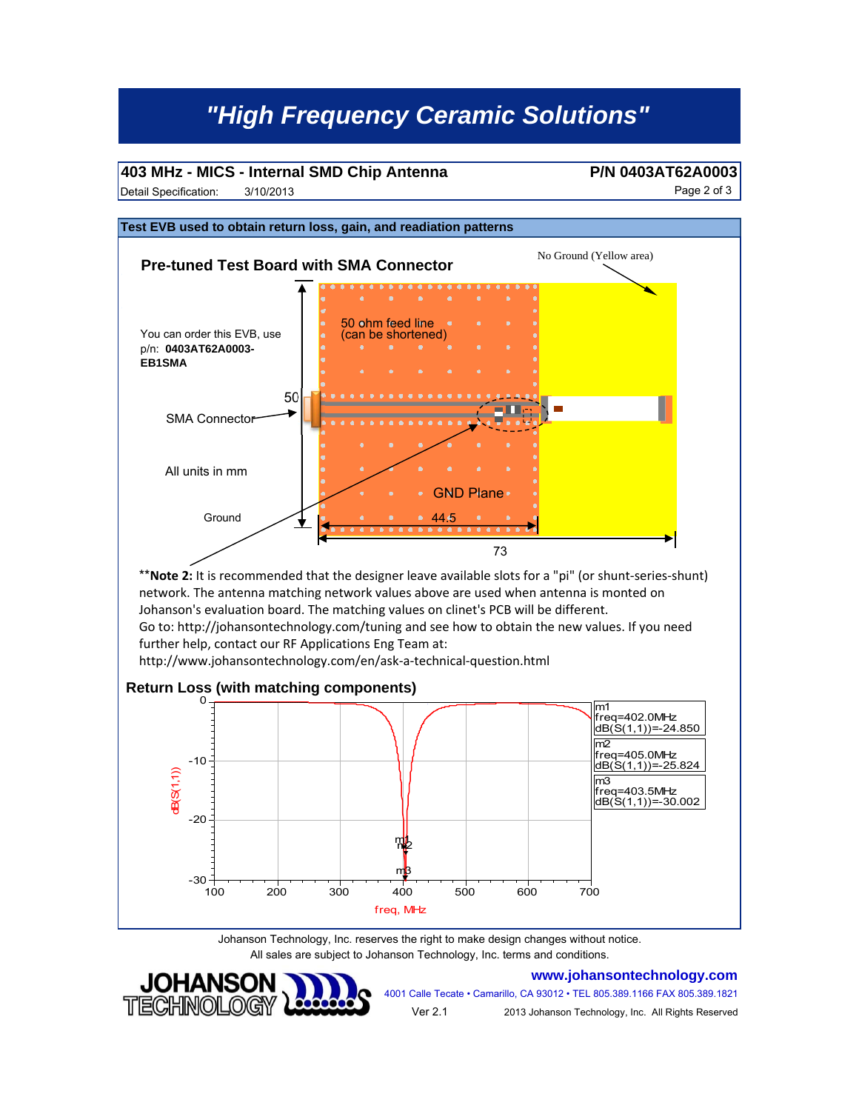## *"High Frequency Ceramic Solutions"*

#### **403 MHz - MICS - Internal SMD Chip Antenna P/N 0403AT62A0003**

Detail Specification: 3/10/2013 38 and 30 and 30 and 30 and 30 and 30 and 30 and 30 and 30 and 30 and 30 and 30 and 30 and 30 and 30 and 30 and 30 and 30 and 30 and 30 and 30 and 30 and 30 and 30 and 30 and 30 and 30 and 3 3/10/2013



Johanson Technology, Inc. reserves the right to make design changes without notice. All sales are subject to Johanson Technology, Inc. terms and conditions.



**www.johansontechnology.com**

4001 Calle Tecate • Camarillo, CA 93012 • TEL 805.389.1166 FAX 805.389.1821 2013 Johanson Technology, Inc. All Rights Reserved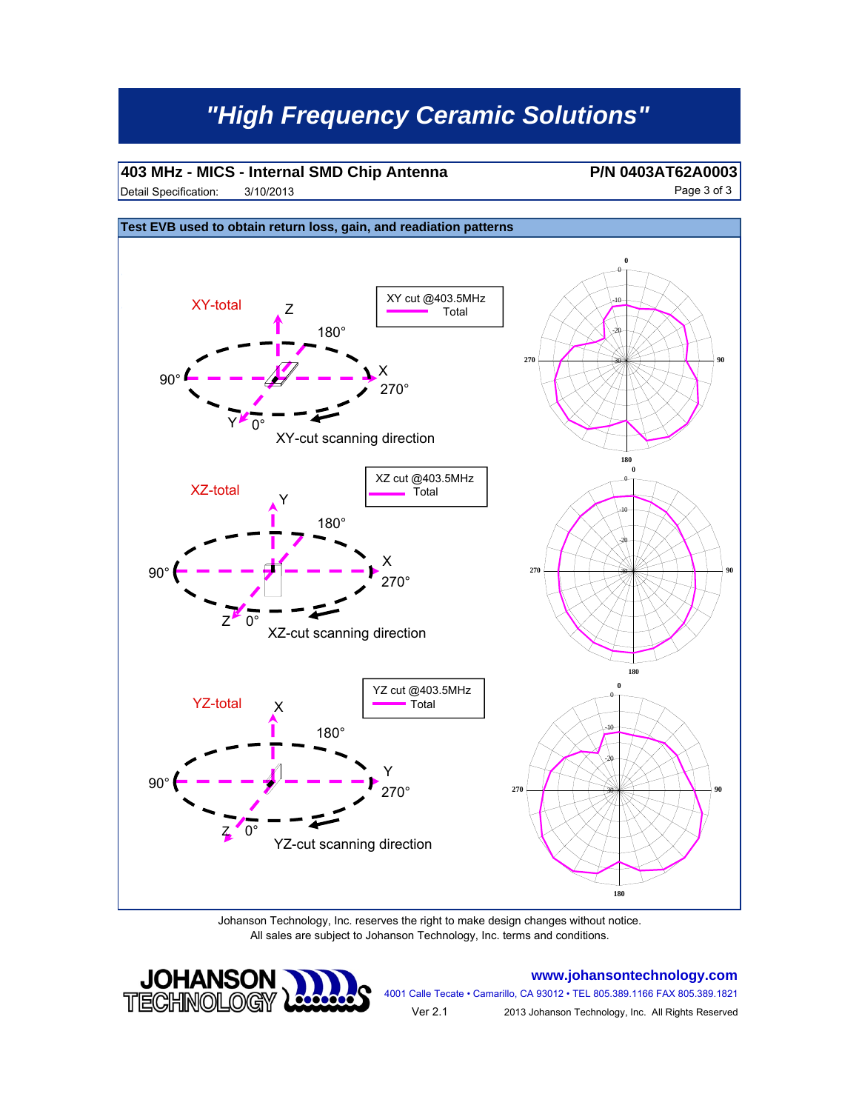# *"High Frequency Ceramic Solutions"*

### **403 MHz - MICS - Internal SMD Chip Antenna P/N 0403AT62A0003**

Detail Specification: Page 3 of 3 3/10/2013



Johanson Technology, Inc. reserves the right to make design changes without notice. All sales are subject to Johanson Technology, Inc. terms and conditions.



**www.johansontechnology.com**

4001 Calle Tecate • Camarillo, CA 93012 • TEL 805.389.1166 FAX 805.389.1821 Ver 2.1

2013 Johanson Technology, Inc. All Rights Reserved